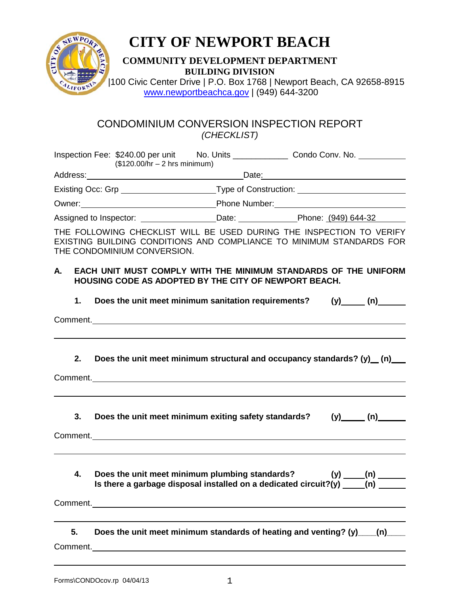

## **CITY OF NEWPORT BEACH**

## **COMMUNITY DEVELOPMENT DEPARTMENT BUILDING DIVISION**

 $\frac{c_{4}}{c_{4}}$  | 100 Civic Center Drive | P.O. Box 1768 | Newport Beach, CA 92658-8915 [www.newportbeachca.gov](http://www.newportbeachca.gov/) | (949) 644-3200

## CONDOMINIUM CONVERSION INSPECTION REPORT *(CHECKLIST)*

|    | $($120.00/hr - 2 hrs minimum)$ |                                                                                                                                                        |  |
|----|--------------------------------|--------------------------------------------------------------------------------------------------------------------------------------------------------|--|
|    |                                |                                                                                                                                                        |  |
|    |                                | Existing Occ: Grp _______________________Type of Construction: _________________                                                                       |  |
|    |                                |                                                                                                                                                        |  |
|    |                                | Assigned to Inspector: ___________________Date: _________________Phone: (949) 644-32                                                                   |  |
|    | THE CONDOMINIUM CONVERSION.    | THE FOLLOWING CHECKLIST WILL BE USED DURING THE INSPECTION TO VERIFY<br>EXISTING BUILDING CONDITIONS AND COMPLIANCE TO MINIMUM STANDARDS FOR           |  |
| A. |                                | EACH UNIT MUST COMPLY WITH THE MINIMUM STANDARDS OF THE UNIFORM<br><b>HOUSING CODE AS ADOPTED BY THE CITY OF NEWPORT BEACH.</b>                        |  |
| 1. |                                | Does the unit meet minimum sanitation requirements? (y) (n) (n)                                                                                        |  |
|    |                                | Comment.                                                                                                                                               |  |
| 2. |                                | Does the unit meet minimum structural and occupancy standards? (y) (n)<br>Comment.<br><u>Comment</u> .                                                 |  |
| 3. |                                | Does the unit meet minimum exiting safety standards? (y) (n)<br>Comment.                                                                               |  |
| 4. |                                | Does the unit meet minimum plumbing standards? $(y)$ ____(n) ______<br>Is there a garbage disposal installed on a dedicated circuit?(y) ____(n) ______ |  |
| 5. |                                | Does the unit meet minimum standards of heating and venting? (y) (n)                                                                                   |  |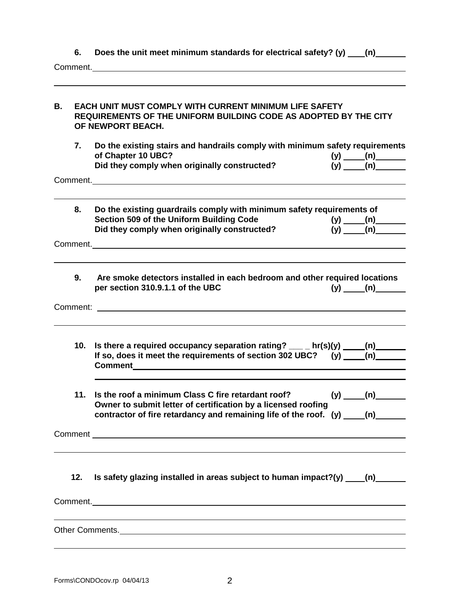**6.** Does the unit meet minimum standards for electrical safety? (y) \_\_\_(n) \_\_\_\_\_

Comment.

| В.       |     | <b>EACH UNIT MUST COMPLY WITH CURRENT MINIMUM LIFE SAFETY</b><br>REQUIREMENTS OF THE UNIFORM BUILDING CODE AS ADOPTED BY THE CITY<br>OF NEWPORT BEACH.                                                                                                                                  |  |                        |  |  |  |
|----------|-----|-----------------------------------------------------------------------------------------------------------------------------------------------------------------------------------------------------------------------------------------------------------------------------------------|--|------------------------|--|--|--|
|          | 7.  | Do the existing stairs and handrails comply with minimum safety requirements<br>of Chapter 10 UBC?<br>Did they comply when originally constructed?                                                                                                                                      |  | (y) $(n)$<br>(y) $(n)$ |  |  |  |
|          |     | Comment. <b>Comment Comment Comment Comment Comment Comment Comment</b>                                                                                                                                                                                                                 |  |                        |  |  |  |
|          | 8.  | Do the existing guardrails comply with minimum safety requirements of<br>Section 509 of the Uniform Building Code<br>Did they comply when originally constructed?                                                                                                                       |  | $(y)$ (n)<br>$(y)$ (n) |  |  |  |
|          |     | Comment.                                                                                                                                                                                                                                                                                |  |                        |  |  |  |
|          | 9.  | Are smoke detectors installed in each bedroom and other required locations<br>per section 310.9.1.1 of the UBC                                                                                                                                                                          |  | $(y)$ (n)              |  |  |  |
| Comment: |     |                                                                                                                                                                                                                                                                                         |  |                        |  |  |  |
|          | 10. | Is there a required occupancy separation rating? $\frac{1}{\sqrt{2}}$ hr(s)(y) $\frac{1}{\sqrt{2}}$ (n)<br>If so, does it meet the requirements of section 302 UBC? (y) ____(n)<br>Comment 2008 2009 2009 2009 2009 2010 2021 2022 2023 2024 2022 2023 2024 2022 2023 2024 2022 2023 20 |  |                        |  |  |  |
|          | 11. | Is the roof a minimum Class C fire retardant roof?<br>Owner to submit letter of certification by a licensed roofing<br>contractor of fire retardancy and remaining life of the roof. (y)                                                                                                |  | (n)                    |  |  |  |
|          |     |                                                                                                                                                                                                                                                                                         |  |                        |  |  |  |
|          | 12. | Is safety glazing installed in areas subject to human impact?(y) $(n)$ (n)                                                                                                                                                                                                              |  |                        |  |  |  |
|          |     |                                                                                                                                                                                                                                                                                         |  |                        |  |  |  |
|          |     | Other Comments. <u>Comments</u> Comments and Comments of the Comments of the Comments of the Comments of the Comments of the Comments of the Comments of the Comments of the Comments of the Comments of the Comments of the Commen                                                     |  |                        |  |  |  |